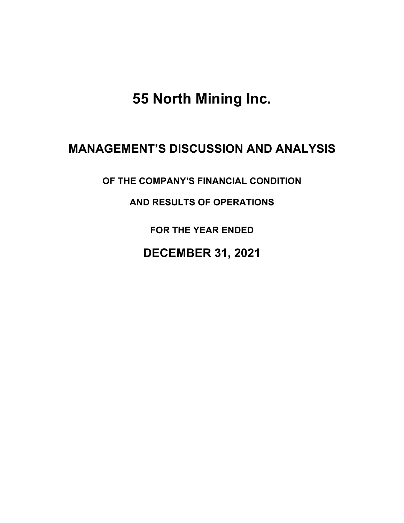**55 North Mining Inc.**

# **MANAGEMENT'S DISCUSSION AND ANALYSIS**

**OF THE COMPANY'S FINANCIAL CONDITION** 

**AND RESULTS OF OPERATIONS** 

**FOR THE YEAR ENDED**

**DECEMBER 31, 2021**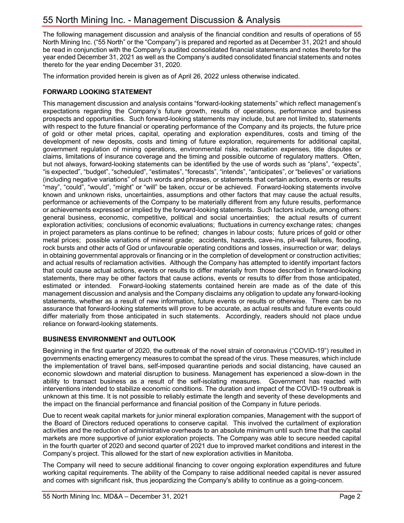The following management discussion and analysis of the financial condition and results of operations of 55 North Mining Inc. ("55 North" or the "Company") is prepared and reported as at December 31, 2021 and should be read in conjunction with the Company's audited consolidated financial statements and notes thereto for the year ended December 31, 2021 as well as the Company's audited consolidated financial statements and notes thereto for the year ending December 31, 2020.

The information provided herein is given as of April 26, 2022 unless otherwise indicated.

## **FORWARD LOOKING STATEMENT**

This management discussion and analysis contains "forward-looking statements" which reflect management's expectations regarding the Company's future growth, results of operations, performance and business prospects and opportunities. Such forward-looking statements may include, but are not limited to, statements with respect to the future financial or operating performance of the Company and its projects, the future price of gold or other metal prices, capital, operating and exploration expenditures, costs and timing of the development of new deposits, costs and timing of future exploration, requirements for additional capital, government regulation of mining operations, environmental risks, reclamation expenses, title disputes or claims, limitations of insurance coverage and the timing and possible outcome of regulatory matters. Often, but not always, forward-looking statements can be identified by the use of words such as "plans", "expects", "is expected", "budget", "scheduled", "estimates", "forecasts", "intends", "anticipates", or "believes" or variations (including negative variations" of such words and phrases, or statements that certain actions, events or results "may", "could", "would", "might" or "will" be taken, occur or be achieved. Forward-looking statements involve known and unknown risks, uncertainties, assumptions and other factors that may cause the actual results, performance or achievements of the Company to be materially different from any future results, performance or achievements expressed or implied by the forward-looking statements. Such factors include, among others: general business, economic, competitive, political and social uncertainties; the actual results of current exploration activities; conclusions of economic evaluations; fluctuations in currency exchange rates; changes in project parameters as plans continue to be refined; changes in labour costs; future prices of gold or other metal prices; possible variations of mineral grade; accidents, hazards, cave-ins, pit-wall failures, flooding, rock bursts and other acts of God or unfavourable operating conditions and losses, insurrection or war; delays in obtaining governmental approvals or financing or in the completion of development or construction activities; and actual results of reclamation activities. Although the Company has attempted to identify important factors that could cause actual actions, events or results to differ materially from those described in forward-looking statements, there may be other factors that cause actions, events or results to differ from those anticipated, estimated or intended. Forward-looking statements contained herein are made as of the date of this management discussion and analysis and the Company disclaims any obligation to update any forward-looking statements, whether as a result of new information, future events or results or otherwise. There can be no assurance that forward-looking statements will prove to be accurate, as actual results and future events could differ materially from those anticipated in such statements. Accordingly, readers should not place undue reliance on forward-looking statements.

## **BUSINESS ENVIRONMENT and OUTLOOK**

Beginning in the first quarter of 2020, the outbreak of the novel strain of coronavirus ("COVID-19") resulted in governments enacting emergency measures to combat the spread of the virus. These measures, which include the implementation of travel bans, self-imposed quarantine periods and social distancing, have caused an economic slowdown and material disruption to business. Management has experienced a slow-down in the ability to transact business as a result of the self-isolating measures. Government has reacted with interventions intended to stabilize economic conditions. The duration and impact of the COVID-19 outbreak is unknown at this time. It is not possible to reliably estimate the length and severity of these developments and the impact on the financial performance and financial position of the Company in future periods.

Due to recent weak capital markets for junior mineral exploration companies, Management with the support of the Board of Directors reduced operations to conserve capital. This involved the curtailment of exploration activities and the reduction of administrative overheads to an absolute minimum until such time that the capital markets are more supportive of junior exploration projects. The Company was able to secure needed capital in the fourth quarter of 2020 and second quarter of 2021 due to improved market conditions and interest in the Company's project. This allowed for the start of new exploration activities in Manitoba.

The Company will need to secure additional financing to cover ongoing exploration expenditures and future working capital requirements. The ability of the Company to raise additional needed capital is never assured and comes with significant risk, thus jeopardizing the Company's ability to continue as a going-concern.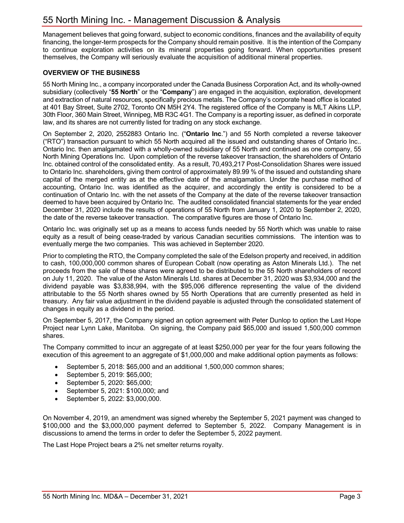Management believes that going forward, subject to economic conditions, finances and the availability of equity financing, the longer-term prospects for the Company should remain positive. It is the intention of the Company to continue exploration activities on its mineral properties going forward. When opportunities present themselves, the Company will seriously evaluate the acquisition of additional mineral properties.

## **OVERVIEW OF THE BUSINESS**

55 North Mining Inc., a company incorporated under the Canada Business Corporation Act, and its wholly-owned subsidiary (collectively "**55 North**" or the "**Company**") are engaged in the acquisition, exploration, development and extraction of natural resources, specifically precious metals. The Company's corporate head office is located at 401 Bay Street, Suite 2702, Toronto ON M5H 2Y4. The registered office of the Company is MLT Aikins LLP, 30th Floor, 360 Main Street, Winnipeg, MB R3C 4G1. The Company is a reporting issuer, as defined in corporate law, and its shares are not currently listed for trading on any stock exchange.

On September 2, 2020, 2552883 Ontario Inc. ("**Ontario Inc**.") and 55 North completed a reverse takeover ("RTO") transaction pursuant to which 55 North acquired all the issued and outstanding shares of Ontario Inc.. Ontario Inc. then amalgamated with a wholly-owned subsidiary of 55 North and continued as one company, 55 North Mining Operations Inc. Upon completion of the reverse takeover transaction, the shareholders of Ontario Inc. obtained control of the consolidated entity. As a result, 70,493,217 Post-Consolidation Shares were issued to Ontario Inc. shareholders, giving them control of approximately 89.99 % of the issued and outstanding share capital of the merged entity as at the effective date of the amalgamation. Under the purchase method of accounting, Ontario Inc. was identified as the acquirer, and accordingly the entity is considered to be a continuation of Ontario Inc. with the net assets of the Company at the date of the reverse takeover transaction deemed to have been acquired by Ontario Inc. The audited consolidated financial statements for the year ended December 31, 2020 include the results of operations of 55 North from January 1, 2020 to September 2, 2020, the date of the reverse takeover transaction. The comparative figures are those of Ontario Inc.

Ontario Inc. was originally set up as a means to access funds needed by 55 North which was unable to raise equity as a result of being cease-traded by various Canadian securities commissions. The intention was to eventually merge the two companies. This was achieved in September 2020.

Prior to completing the RTO, the Company completed the sale of the Edelson property and received, in addition to cash, 100,000,000 common shares of European Cobalt (now operating as Aston Minerals Ltd.). The net proceeds from the sale of these shares were agreed to be distributed to the 55 North shareholders of record on July 11, 2020. The value of the Aston Minerals Ltd. shares at December 31, 2020 was \$3,934,000 and the dividend payable was \$3,838,994, with the \$95,006 difference representing the value of the dividend attributable to the 55 North shares owned by 55 North Operations that are currently presented as held in treasury. Any fair value adjustment in the dividend payable is adjusted through the consolidated statement of changes in equity as a dividend in the period.

On September 5, 2017, the Company signed an option agreement with Peter Dunlop to option the Last Hope Project near Lynn Lake, Manitoba. On signing, the Company paid \$65,000 and issued 1,500,000 common shares.

The Company committed to incur an aggregate of at least \$250,000 per year for the four years following the execution of this agreement to an aggregate of \$1,000,000 and make additional option payments as follows:

- September 5, 2018: \$65,000 and an additional 1,500,000 common shares;
- September 5, 2019: \$65,000;
- September 5, 2020: \$65,000;
- September 5, 2021: \$100,000; and
- September 5, 2022: \$3,000,000.

On November 4, 2019, an amendment was signed whereby the September 5, 2021 payment was changed to \$100,000 and the \$3,000,000 payment deferred to September 5, 2022. Company Management is in discussions to amend the terms in order to defer the September 5, 2022 payment.

The Last Hope Project bears a 2% net smelter returns royalty.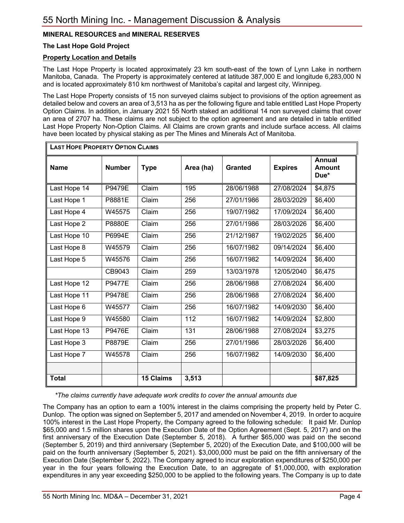## **MINERAL RESOURCES and MINERAL RESERVES**

## **The Last Hope Gold Project**

## **Property Location and Details**

The Last Hope Property is located approximately 23 km south-east of the town of Lynn Lake in northern Manitoba, Canada. The Property is approximately centered at latitude 387,000 E and longitude 6,283,000 N and is located approximately 810 km northwest of Manitoba's capital and largest city, Winnipeg.

The Last Hope Property consists of 15 non surveyed claims subject to provisions of the option agreement as detailed below and covers an area of 3,513 ha as per the following figure and table entitled Last Hope Property Option Claims. In addition, in January 2021 55 North staked an additional 14 non surveyed claims that cover an area of 2707 ha. These claims are not subject to the option agreement and are detailed in table entitled Last Hope Property Non-Option Claims. All Claims are crown grants and include surface access. All claims have been located by physical staking as per The Mines and Minerals Act of Manitoba.

| <b>LAST HOPE PROPERTY OPTION CLAIMS</b> |               |                  |                  |                |                |                                        |
|-----------------------------------------|---------------|------------------|------------------|----------------|----------------|----------------------------------------|
| <b>Name</b>                             | <b>Number</b> | <b>Type</b>      | Area (ha)        | <b>Granted</b> | <b>Expires</b> | <b>Annual</b><br><b>Amount</b><br>Due* |
| Last Hope 14                            | P9479E        | Claim            | 195              | 28/06/1988     | 27/08/2024     | \$4,875                                |
| Last Hope 1                             | P8881E        | Claim            | 256              | 27/01/1986     | 28/03/2029     | \$6,400                                |
| Last Hope 4                             | W45575        | Claim            | 256              | 19/07/1982     | 17/09/2024     | \$6,400                                |
| Last Hope 2                             | P8880E        | Claim            | 256              | 27/01/1986     | 28/03/2026     | \$6,400                                |
| Last Hope 10                            | P6994E        | Claim            | 256              | 21/12/1987     | 19/02/2025     | $\overline{$}6,400$                    |
| Last Hope 8                             | W45579        | Claim            | 256              | 16/07/1982     | 09/14/2024     | \$6,400                                |
| Last Hope 5                             | W45576        | Claim            | 256              | 16/07/1982     | 14/09/2024     | \$6,400                                |
|                                         | CB9043        | Claim            | 259              | 13/03/1978     | 12/05/2040     | \$6,475                                |
| Last Hope 12                            | <b>P9477E</b> | Claim            | 256              | 28/06/1988     | 27/08/2024     | \$6,400                                |
| Last Hope 11                            | <b>P9478E</b> | Claim            | 256              | 28/06/1988     | 27/08/2024     | \$6,400                                |
| Last Hope 6                             | W45577        | Claim            | 256              | 16/07/1982     | 14/09/2030     | \$6,400                                |
| Last Hope 9                             | W45580        | Claim            | $\overline{112}$ | 16/07/1982     | 14/09/2024     | \$2,800                                |
| Last Hope 13                            | <b>P9476E</b> | Claim            | 131              | 28/06/1988     | 27/08/2024     | \$3,275                                |
| Last Hope 3                             | P8879E        | Claim            | 256              | 27/01/1986     | 28/03/2026     | \$6,400                                |
| Last Hope 7                             | W45578        | Claim            | 256              | 16/07/1982     | 14/09/2030     | $\overline{$}6,400$                    |
|                                         |               |                  |                  |                |                |                                        |
| <b>Total</b>                            |               | <b>15 Claims</b> | 3,513            |                |                | \$87,825                               |

*\*The claims currently have adequate work credits to cover the annual amounts due*

The Company has an option to earn a 100% interest in the claims comprising the property held by Peter C. Dunlop. The option was signed on September 5, 2017 and amended on November 4, 2019. In order to acquire 100% interest in the Last Hope Property, the Company agreed to the following schedule: It paid Mr. Dunlop \$65,000 and 1.5 million shares upon the Execution Date of the Option Agreement (Sept. 5, 2017) and on the first anniversary of the Execution Date (September 5, 2018). A further \$65,000 was paid on the second (September 5, 2019) and third anniversary (September 5, 2020) of the Execution Date, and \$100,000 will be paid on the fourth anniversary (September 5, 2021). \$3,000,000 must be paid on the fifth anniversary of the Execution Date (September 5, 2022). The Company agreed to incur exploration expenditures of \$250,000 per year in the four years following the Execution Date, to an aggregate of \$1,000,000, with exploration expenditures in any year exceeding \$250,000 to be applied to the following years. The Company is up to date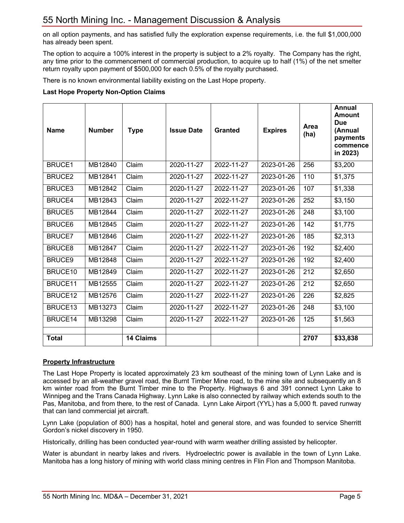on all option payments, and has satisfied fully the exploration expense requirements, i.e. the full \$1,000,000 has already been spent.

The option to acquire a 100% interest in the property is subject to a 2% royalty. The Company has the right, any time prior to the commencement of commercial production, to acquire up to half (1%) of the net smelter return royalty upon payment of \$500,000 for each 0.5% of the royalty purchased.

There is no known environmental liability existing on the Last Hope property.

#### **Last Hope Property Non-Option Claims**

| <b>Name</b>   | <b>Number</b> | <b>Type</b>      | <b>Issue Date</b> | <b>Granted</b> | <b>Expires</b>   | Area<br>(ha) | <b>Annual</b><br>Amount<br><b>Due</b><br>(Annual<br>payments<br>commence<br>in 2023) |
|---------------|---------------|------------------|-------------------|----------------|------------------|--------------|--------------------------------------------------------------------------------------|
| <b>BRUCE1</b> | MB12840       | Claim            | 2020-11-27        | 2022-11-27     | 2023-01-26       | 256          | \$3,200                                                                              |
| <b>BRUCE2</b> | MB12841       | Claim            | 2020-11-27        | 2022-11-27     | 2023-01-26       | 110          | \$1,375                                                                              |
| <b>BRUCE3</b> | MB12842       | Claim            | 2020-11-27        | 2022-11-27     | 2023-01-26       | 107          | \$1,338                                                                              |
| <b>BRUCE4</b> | MB12843       | Claim            | 2020-11-27        | 2022-11-27     | 2023-01-26       | 252          | \$3,150                                                                              |
| <b>BRUCE5</b> | MB12844       | Claim            | 2020-11-27        | 2022-11-27     | 2023-01-26       | 248          | \$3,100                                                                              |
| <b>BRUCE6</b> | MB12845       | Claim            | 2020-11-27        | 2022-11-27     | 2023-01-26       | 142          | \$1,775                                                                              |
| <b>BRUCE7</b> | MB12846       | Claim            | 2020-11-27        | 2022-11-27     | 2023-01-26       | 185          | \$2,313                                                                              |
| <b>BRUCE8</b> | MB12847       | Claim            | 2020-11-27        | 2022-11-27     | 2023-01-26       | 192          | \$2,400                                                                              |
| <b>BRUCE9</b> | MB12848       | Claim            | 2020-11-27        | 2022-11-27     | 2023-01-26       | 192          | \$2,400                                                                              |
| BRUCE10       | MB12849       | Claim            | 2020-11-27        | 2022-11-27     | 2023-01-26       | 212          | \$2,650                                                                              |
| BRUCE11       | MB12555       | Claim            | 2020-11-27        | 2022-11-27     | $2023 - 01 - 26$ | 212          | \$2,650                                                                              |
| BRUCE12       | MB12576       | Claim            | 2020-11-27        | 2022-11-27     | 2023-01-26       | 226          | \$2,825                                                                              |
| BRUCE13       | MB13273       | Claim            | 2020-11-27        | 2022-11-27     | 2023-01-26       | 248          | \$3,100                                                                              |
| BRUCE14       | MB13298       | Claim            | 2020-11-27        | 2022-11-27     | 2023-01-26       | 125          | \$1,563                                                                              |
| <b>Total</b>  |               | <b>14 Claims</b> |                   |                |                  | 2707         | \$33,838                                                                             |

## **Property Infrastructure**

The Last Hope Property is located approximately 23 km southeast of the mining town of Lynn Lake and is accessed by an all-weather gravel road, the Burnt Timber Mine road, to the mine site and subsequently an 8 km winter road from the Burnt Timber mine to the Property. Highways 6 and 391 connect Lynn Lake to Winnipeg and the Trans Canada Highway. Lynn Lake is also connected by railway which extends south to the Pas, Manitoba, and from there, to the rest of Canada. Lynn Lake Airport (YYL) has a 5,000 ft. paved runway that can land commercial jet aircraft.

Lynn Lake (population of 800) has a hospital, hotel and general store, and was founded to service Sherritt Gordon's nickel discovery in 1950.

Historically, drilling has been conducted year-round with warm weather drilling assisted by helicopter.

Water is abundant in nearby lakes and rivers. Hydroelectric power is available in the town of Lynn Lake. Manitoba has a long history of mining with world class mining centres in Flin Flon and Thompson Manitoba.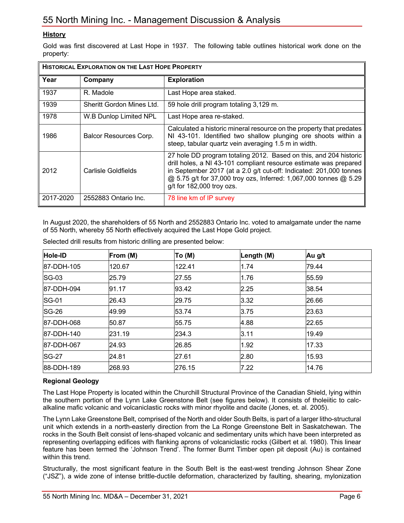## **History**

Gold was first discovered at Last Hope in 1937. The following table outlines historical work done on the property:

| <b>HISTORICAL EXPLORATION ON THE LAST HOPE PROPERTY</b> |                           |                                                                                                                                                                                                                                                                                                                |  |  |
|---------------------------------------------------------|---------------------------|----------------------------------------------------------------------------------------------------------------------------------------------------------------------------------------------------------------------------------------------------------------------------------------------------------------|--|--|
| Year                                                    | Company                   | <b>Exploration</b>                                                                                                                                                                                                                                                                                             |  |  |
| 1937                                                    | R. Madole                 | Last Hope area staked.                                                                                                                                                                                                                                                                                         |  |  |
| 1939                                                    | Sheritt Gordon Mines Ltd. | 59 hole drill program totaling 3,129 m.                                                                                                                                                                                                                                                                        |  |  |
| 1978                                                    | W.B Dunlop Limited NPL    | Last Hope area re-staked.                                                                                                                                                                                                                                                                                      |  |  |
| 1986                                                    | Balcor Resources Corp.    | Calculated a historic mineral resource on the property that predates<br>NI 43-101. Identified two shallow plunging ore shoots within a<br>steep, tabular quartz vein averaging 1.5 m in width.                                                                                                                 |  |  |
| 2012                                                    | Carlisle Goldfields       | 27 hole DD program totaling 2012. Based on this, and 204 historic<br>drill holes, a NI 43-101 compliant resource estimate was prepared<br>in September 2017 (at a 2.0 g/t cut-off: Indicated: 201,000 tonnes<br>@ 5.75 g/t for 37,000 troy ozs, Inferred: 1,067,000 tonnes @ 5.29<br>g/t for 182,000 troy ozs. |  |  |
| 2017-2020                                               | 2552883 Ontario Inc.      | 78 line km of IP survey                                                                                                                                                                                                                                                                                        |  |  |

In August 2020, the shareholders of 55 North and 2552883 Ontario Inc. voted to amalgamate under the name of 55 North, whereby 55 North effectively acquired the Last Hope Gold project.

| Hole-ID      | From (M) | To (M) | Length (M) | Au g/t |
|--------------|----------|--------|------------|--------|
| 87-DDH-105   | 120.67   | 122.41 | 1.74       | 79.44  |
| $SG-03$      | 25.79    | 27.55  | 1.76       | 55.59  |
| 87-DDH-094   | 91.17    | 93.42  | 2.25       | 38.54  |
| $ SG-01$     | 26.43    | 29.75  | 3.32       | 26.66  |
| <b>SG-26</b> | 49.99    | 53.74  | 3.75       | 23.63  |
| 87-DDH-068   | 50.87    | 55.75  | 4.88       | 22.65  |
| 87-DDH-140   | 231.19   | 234.3  | 3.11       | 19.49  |
| 87-DDH-067   | 24.93    | 26.85  | 1.92       | 17.33  |
| <b>SG-27</b> | 24.81    | 27.61  | 2.80       | 15.93  |
| 88-DDH-189   | 268.93   | 276.15 | 7.22       | 14.76  |

Selected drill results from historic drilling are presented below:

## **Regional Geology**

The Last Hope Property is located within the Churchill Structural Province of the Canadian Shield, lying within the southern portion of the Lynn Lake Greenstone Belt (see figures below). It consists of tholeiitic to calcalkaline mafic volcanic and volcaniclastic rocks with minor rhyolite and dacite (Jones, et. al. 2005).

The Lynn Lake Greenstone Belt, comprised of the North and older South Belts, is part of a larger litho-structural unit which extends in a north-easterly direction from the La Ronge Greenstone Belt in Saskatchewan. The rocks in the South Belt consist of lens-shaped volcanic and sedimentary units which have been interpreted as representing overlapping edifices with flanking aprons of volcaniclastic rocks (Gilbert et al. 1980). This linear feature has been termed the 'Johnson Trend'. The former Burnt Timber open pit deposit (Au) is contained within this trend.

Structurally, the most significant feature in the South Belt is the east-west trending Johnson Shear Zone ("JSZ"), a wide zone of intense brittle-ductile deformation, characterized by faulting, shearing, mylonization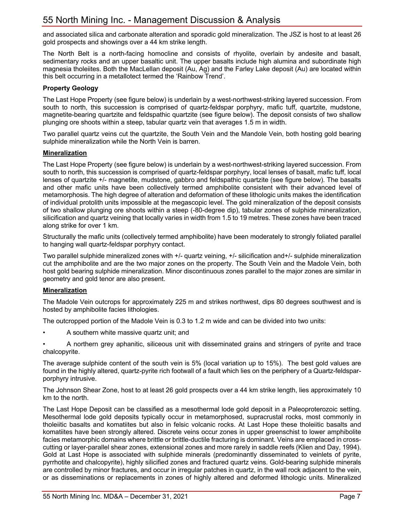and associated silica and carbonate alteration and sporadic gold mineralization. The JSZ is host to at least 26 gold prospects and showings over a 44 km strike length.

The North Belt is a north-facing homocline and consists of rhyolite, overlain by andesite and basalt, sedimentary rocks and an upper basaltic unit. The upper basalts include high alumina and subordinate high magnesia tholeiites. Both the MacLellan deposit (Au, Ag) and the Farley Lake deposit (Au) are located within this belt occurring in a metallotect termed the 'Rainbow Trend'.

## **Property Geology**

The Last Hope Property (see figure below) is underlain by a west-northwest-striking layered succession. From south to north, this succession is comprised of quartz-feldspar porphyry, mafic tuff, quartzite, mudstone, magnetite-bearing quartzite and feldspathic quartzite (see figure below). The deposit consists of two shallow plunging ore shoots within a steep, tabular quartz vein that averages 1.5 m in width.

Two parallel quartz veins cut the quartzite, the South Vein and the Mandole Vein, both hosting gold bearing sulphide mineralization while the North Vein is barren.

## **Mineralization**

The Last Hope Property (see figure below) is underlain by a west-northwest-striking layered succession. From south to north, this succession is comprised of quartz-feldspar porphyry, local lenses of basalt, mafic tuff, local lenses of quartzite +/- magnetite, mudstone, gabbro and feldspathic quartzite (see figure below). The basalts and other mafic units have been collectively termed amphibolite consistent with their advanced level of metamorphosis. The high degree of alteration and deformation of these lithologic units makes the identification of individual protolith units impossible at the megascopic level. The gold mineralization of the deposit consists of two shallow plunging ore shoots within a steep (-80-degree dip), tabular zones of sulphide mineralization, silicification and quartz veining that locally varies in width from 1.5 to 19 metres. These zones have been traced along strike for over 1 km.

Structurally the mafic units (collectively termed amphibolite) have been moderately to strongly foliated parallel to hanging wall quartz-feldspar porphyry contact.

Two parallel sulphide mineralized zones with +/- quartz veining, +/- silicification and+/- sulphide mineralization cut the amphibolite and are the two major zones on the property. The South Vein and the Madole Vein, both host gold bearing sulphide mineralization. Minor discontinuous zones parallel to the major zones are similar in geometry and gold tenor are also present.

## **Mineralization**

The Madole Vein outcrops for approximately 225 m and strikes northwest, dips 80 degrees southwest and is hosted by amphibolite facies lithologies.

The outcropped portion of the Madole Vein is 0.3 to 1.2 m wide and can be divided into two units:

• A southern white massive quartz unit; and

• A northern grey aphanitic, siliceous unit with disseminated grains and stringers of pyrite and trace chalcopyrite.

The average sulphide content of the south vein is 5% (local variation up to 15%). The best gold values are found in the highly altered, quartz-pyrite rich footwall of a fault which lies on the periphery of a Quartz-feldsparporphyry intrusive.

The Johnson Shear Zone, host to at least 26 gold prospects over a 44 km strike length, lies approximately 10 km to the north.

The Last Hope Deposit can be classified as a mesothermal lode gold deposit in a Paleoproterozoic setting. Mesothermal lode gold deposits typically occur in metamorphosed, supracrustal rocks, most commonly in tholeiitic basalts and komatiites but also in felsic volcanic rocks. At Last Hope these tholeiitic basalts and komatiites have been strongly altered. Discrete veins occur zones in upper greenschist to lower amphibolite facies metamorphic domains where brittle or brittle-ductile fracturing is dominant. Veins are emplaced in crosscutting or layer-parallel shear zones, extensional zones and more rarely in saddle reefs (Klien and Day, 1994). Gold at Last Hope is associated with sulphide minerals (predominantly disseminated to veinlets of pyrite, pyrrhotite and chalcopyrite), highly silicified zones and fractured quartz veins. Gold-bearing sulphide minerals are controlled by minor fractures, and occur in irregular patches in quartz, in the wall rock adjacent to the vein, or as disseminations or replacements in zones of highly altered and deformed lithologic units. Mineralized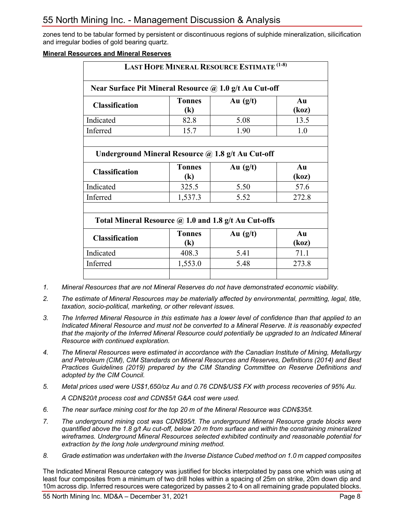zones tend to be tabular formed by persistent or discontinuous regions of sulphide mineralization, silicification and irregular bodies of gold bearing quartz.

#### **Mineral Resources and Mineral Reserves**

| <b>LAST HOPE MINERAL RESOURCE ESTIMATE (1-8)</b>       |                                             |            |             |  |  |
|--------------------------------------------------------|---------------------------------------------|------------|-------------|--|--|
| Near Surface Pit Mineral Resource @ 1.0 g/t Au Cut-off |                                             |            |             |  |  |
| <b>Classification</b>                                  | <b>Tonnes</b><br>$\left( \mathbf{k}\right)$ | Au $(g/t)$ | Au<br>(koz) |  |  |
| Indicated                                              | 82.8                                        | 5.08       | 13.5        |  |  |
| Inferred                                               | 15.7                                        | 1.90       | 1.0         |  |  |
|                                                        |                                             |            |             |  |  |
| Underground Mineral Resource @ 1.8 g/t Au Cut-off      |                                             |            |             |  |  |
| <b>Classification</b>                                  | <b>Tonnes</b><br>$\left( \mathbf{k}\right)$ | Au $(g/t)$ | Au<br>(koz) |  |  |
| Indicated                                              | 325.5                                       | 5.50       | 57.6        |  |  |
| Inferred                                               | 1,537.3                                     | 5.52       | 272.8       |  |  |
|                                                        |                                             |            |             |  |  |
| Total Mineral Resource @ 1.0 and 1.8 g/t Au Cut-offs   |                                             |            |             |  |  |
| <b>Classification</b>                                  | <b>Tonnes</b><br>$\left( \mathbf{k}\right)$ | Au $(g/t)$ | Au<br>(koz) |  |  |
| Indicated                                              | 408.3                                       | 5.41       | 71.1        |  |  |
| Inferred                                               | 1,553.0                                     | 5.48       | 273.8       |  |  |
|                                                        |                                             |            |             |  |  |

- *1. Mineral Resources that are not Mineral Reserves do not have demonstrated economic viability.*
- *2. The estimate of Mineral Resources may be materially affected by environmental, permitting, legal, title, taxation, socio-political, marketing, or other relevant issues.*
- *3. The Inferred Mineral Resource in this estimate has a lower level of confidence than that applied to an Indicated Mineral Resource and must not be converted to a Mineral Reserve. It is reasonably expected that the majority of the Inferred Mineral Resource could potentially be upgraded to an Indicated Mineral Resource with continued exploration.*
- *4. The Mineral Resources were estimated in accordance with the Canadian Institute of Mining, Metallurgy and Petroleum (CIM), CIM Standards on Mineral Resources and Reserves, Definitions (2014) and Best Practices Guidelines (2019) prepared by the CIM Standing Committee on Reserve Definitions and adopted by the CIM Council.*
- *5. Metal prices used were US\$1,650/oz Au and 0.76 CDN\$/US\$ FX with process recoveries of 95% Au.*

*A CDN\$20/t process cost and CDN\$5/t G&A cost were used.*

- *6. The near surface mining cost for the top 20 m of the Mineral Resource was CDN\$35/t.*
- *7. The underground mining cost was CDN\$95/t. The underground Mineral Resource grade blocks were quantified above the 1.8 g/t Au cut-off, below 20 m from surface and within the constraining mineralized wireframes. Underground Mineral Resources selected exhibited continuity and reasonable potential for extraction by the long hole underground mining method.*
- *8. Grade estimation was undertaken with the Inverse Distance Cubed method on 1.0 m capped composites*

The Indicated Mineral Resource category was justified for blocks interpolated by pass one which was using at least four composites from a minimum of two drill holes within a spacing of 25m on strike, 20m down dip and 10m across dip. Inferred resources were categorized by passes 2 to 4 on all remaining grade populated blocks.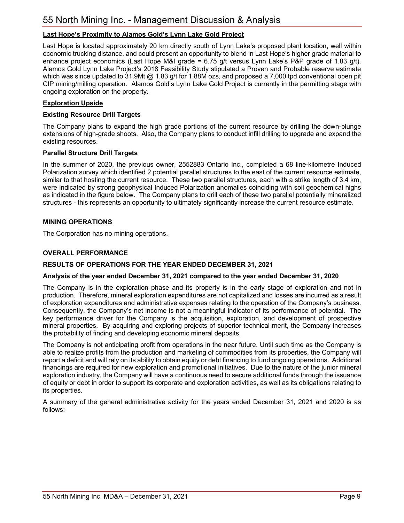## **Last Hope's Proximity to Alamos Gold's Lynn Lake Gold Project**

Last Hope is located approximately 20 km directly south of Lynn Lake's proposed plant location, well within economic trucking distance, and could present an opportunity to blend in Last Hope's higher grade material to enhance project economics (Last Hope M&I grade = 6.75 g/t versus Lynn Lake's P&P grade of 1.83 g/t). Alamos Gold Lynn Lake Project's 2018 Feasibility Study stipulated a Proven and Probable reserve estimate which was since updated to 31.9Mt  $@$  1.83 g/t for 1.88M ozs, and proposed a 7,000 tpd conventional open pit CIP mining/milling operation. Alamos Gold's Lynn Lake Gold Project is currently in the permitting stage with ongoing exploration on the property.

## **Exploration Upside**

## **Existing Resource Drill Targets**

The Company plans to expand the high grade portions of the current resource by drilling the down-plunge extensions of high-grade shoots. Also, the Company plans to conduct infill drilling to upgrade and expand the existing resources.

#### **Parallel Structure Drill Targets**

In the summer of 2020, the previous owner, 2552883 Ontario Inc., completed a 68 line-kilometre Induced Polarization survey which identified 2 potential parallel structures to the east of the current resource estimate, similar to that hosting the current resource. These two parallel structures, each with a strike length of 3.4 km, were indicated by strong geophysical Induced Polarization anomalies coinciding with soil geochemical highs as indicated in the figure below. The Company plans to drill each of these two parallel potentially mineralized structures - this represents an opportunity to ultimately significantly increase the current resource estimate.

## **MINING OPERATIONS**

The Corporation has no mining operations.

#### **OVERALL PERFORMANCE**

#### **RESULTS OF OPERATIONS FOR THE YEAR ENDED DECEMBER 31, 2021**

#### **Analysis of the year ended December 31, 2021 compared to the year ended December 31, 2020**

The Company is in the exploration phase and its property is in the early stage of exploration and not in production. Therefore, mineral exploration expenditures are not capitalized and losses are incurred as a result of exploration expenditures and administrative expenses relating to the operation of the Company's business. Consequently, the Company's net income is not a meaningful indicator of its performance of potential. The key performance driver for the Company is the acquisition, exploration, and development of prospective mineral properties. By acquiring and exploring projects of superior technical merit, the Company increases the probability of finding and developing economic mineral deposits.

The Company is not anticipating profit from operations in the near future. Until such time as the Company is able to realize profits from the production and marketing of commodities from its properties, the Company will report a deficit and will rely on its ability to obtain equity or debt financing to fund ongoing operations. Additional financings are required for new exploration and promotional initiatives. Due to the nature of the junior mineral exploration industry, the Company will have a continuous need to secure additional funds through the issuance of equity or debt in order to support its corporate and exploration activities, as well as its obligations relating to its properties.

A summary of the general administrative activity for the years ended December 31, 2021 and 2020 is as follows: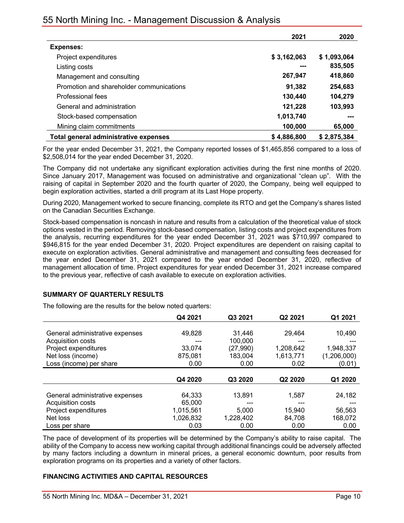## 55 North Mining Inc. - Management Discussion & Analysis

|                                          | 2021        | 2020        |
|------------------------------------------|-------------|-------------|
| <b>Expenses:</b>                         |             |             |
| Project expenditures                     | \$3,162,063 | \$1,093,064 |
| Listing costs                            | ---         | 835,505     |
| Management and consulting                | 267,947     | 418,860     |
| Promotion and shareholder communications | 91,382      | 254,683     |
| Professional fees                        | 130.440     | 104,279     |
| General and administration               | 121,228     | 103,993     |
| Stock-based compensation                 | 1,013,740   | ---         |
| Mining claim commitments                 | 100,000     | 65,000      |
| Total general administrative expenses    | \$4,886,800 | \$2,875,384 |

For the year ended December 31, 2021, the Company reported losses of \$1,465,856 compared to a loss of \$2,508,014 for the year ended December 31, 2020.

The Company did not undertake any significant exploration activities during the first nine months of 2020. Since January 2017, Management was focused on administrative and organizational "clean up". With the raising of capital in September 2020 and the fourth quarter of 2020, the Company, being well equipped to begin exploration activities, started a drill program at its Last Hope property.

During 2020, Management worked to secure financing, complete its RTO and get the Company's shares listed on the Canadian Securities Exchange.

Stock-based compensation is noncash in nature and results from a calculation of the theoretical value of stock options vested in the period. Removing stock-based compensation, listing costs and project expenditures from the analysis, recurring expenditures for the year ended December 31, 2021 was \$710,997 compared to \$946,815 for the year ended December 31, 2020. Project expenditures are dependent on raising capital to execute on exploration activities. General administrative and management and consulting fees decreased for the year ended December 31, 2021 compared to the year ended December 31, 2020, reflective of management allocation of time. Project expenditures for year ended December 31, 2021 increase compared to the previous year, reflective of cash available to execute on exploration activities.

## **SUMMARY OF QUARTERLY RESULTS**

The following are the results for the below noted quarters:

|                                 | Q4 2021   | Q3 2021   | Q2 2021   | Q1 2021     |
|---------------------------------|-----------|-----------|-----------|-------------|
|                                 |           |           |           |             |
| General administrative expenses | 49,828    | 31.446    | 29,464    | 10,490      |
| Acquisition costs               |           | 100,000   |           |             |
| Project expenditures            | 33,074    | (27, 990) | 1,208,642 | 1,948,337   |
| Net loss (income)               | 875,081   | 183,004   | 1,613,771 | (1,206,000) |
| Loss (income) per share         | 0.00      | 0.00      | 0.02      | (0.01)      |
|                                 |           |           |           |             |
|                                 | Q4 2020   | Q3 2020   | Q2 2020   | Q1 2020     |
|                                 |           |           |           |             |
| General administrative expenses | 64,333    | 13,891    | 1,587     | 24,182      |
| Acquisition costs               | 65,000    |           |           |             |
| Project expenditures            | 1,015,561 | 5.000     | 15,940    | 56,563      |
| Net loss                        | 1,026,832 | 1,228,402 | 84,708    | 168,072     |
| Loss per share                  | 0.03      | 0.00      | 0.00      | 0.00        |

The pace of development of its properties will be determined by the Company's ability to raise capital. The ability of the Company to access new working capital through additional financings could be adversely affected by many factors including a downturn in mineral prices, a general economic downturn, poor results from exploration programs on its properties and a variety of other factors.

## **FINANCING ACTIVITIES AND CAPITAL RESOURCES**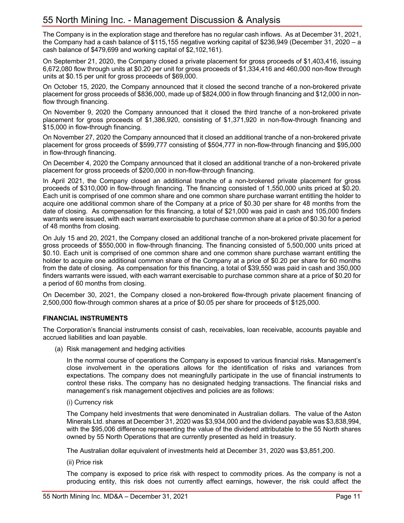The Company is in the exploration stage and therefore has no regular cash inflows. As at December 31, 2021, the Company had a cash balance of \$115,155 negative working capital of \$236,949 (December 31, 2020 – a cash balance of \$479,699 and working capital of \$2,102,161).

On September 21, 2020, the Company closed a private placement for gross proceeds of \$1,403,416, issuing 6,672,080 flow through units at \$0.20 per unit for gross proceeds of \$1,334,416 and 460,000 non-flow through units at \$0.15 per unit for gross proceeds of \$69,000.

On October 15, 2020, the Company announced that it closed the second tranche of a non-brokered private placement for gross proceeds of \$836,000, made up of \$824,000 in flow through financing and \$12,000 in nonflow through financing.

On November 9, 2020 the Company announced that it closed the third tranche of a non-brokered private placement for gross proceeds of \$1,386,920, consisting of \$1,371,920 in non-flow-through financing and \$15,000 in flow-through financing.

On November 27, 2020 the Company announced that it closed an additional tranche of a non-brokered private placement for gross proceeds of \$599,777 consisting of \$504,777 in non-flow-through financing and \$95,000 in flow-through financing.

On December 4, 2020 the Company announced that it closed an additional tranche of a non-brokered private placement for gross proceeds of \$200,000 in non-flow-through financing.

In April 2021, the Company closed an additional tranche of a non-brokered private placement for gross proceeds of \$310,000 in flow-through financing. The financing consisted of 1,550,000 units priced at \$0.20. Each unit is comprised of one common share and one common share purchase warrant entitling the holder to acquire one additional common share of the Company at a price of \$0.30 per share for 48 months from the date of closing. As compensation for this financing, a total of \$21,000 was paid in cash and 105,000 finders warrants were issued, with each warrant exercisable to purchase common share at a price of \$0.30 for a period of 48 months from closing.

On July 15 and 20, 2021, the Company closed an additional tranche of a non-brokered private placement for gross proceeds of \$550,000 in flow-through financing. The financing consisted of 5,500,000 units priced at \$0.10. Each unit is comprised of one common share and one common share purchase warrant entitling the holder to acquire one additional common share of the Company at a price of \$0.20 per share for 60 months from the date of closing. As compensation for this financing, a total of \$39,550 was paid in cash and 350,000 finders warrants were issued, with each warrant exercisable to purchase common share at a price of \$0.20 for a period of 60 months from closing.

On December 30, 2021, the Company closed a non-brokered flow-through private placement financing of 2,500,000 flow-through common shares at a price of \$0.05 per share for proceeds of \$125,000.

## **FINANCIAL INSTRUMENTS**

The Corporation's financial instruments consist of cash, receivables, loan receivable, accounts payable and accrued liabilities and loan payable.

(a) Risk management and hedging activities

In the normal course of operations the Company is exposed to various financial risks. Management's close involvement in the operations allows for the identification of risks and variances from expectations. The company does not meaningfully participate in the use of financial instruments to control these risks. The company has no designated hedging transactions. The financial risks and management's risk management objectives and policies are as follows:

#### (i) Currency risk

The Company held investments that were denominated in Australian dollars. The value of the Aston Minerals Ltd. shares at December 31, 2020 was \$3,934,000 and the dividend payable was \$3,838,994, with the \$95,006 difference representing the value of the dividend attributable to the 55 North shares owned by 55 North Operations that are currently presented as held in treasury.

The Australian dollar equivalent of investments held at December 31, 2020 was \$3,851,200.

(ii) Price risk

The company is exposed to price risk with respect to commodity prices. As the company is not a producing entity, this risk does not currently affect earnings, however, the risk could affect the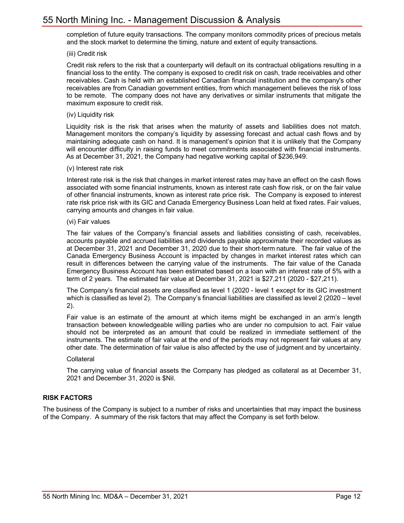completion of future equity transactions. The company monitors commodity prices of precious metals and the stock market to determine the timing, nature and extent of equity transactions.

(iii) Credit risk

Credit risk refers to the risk that a counterparty will default on its contractual obligations resulting in a financial loss to the entity. The company is exposed to credit risk on cash, trade receivables and other receivables. Cash is held with an established Canadian financial institution and the company's other receivables are from Canadian government entities, from which management believes the risk of loss to be remote. The company does not have any derivatives or similar instruments that mitigate the maximum exposure to credit risk.

(iv) Liquidity risk

Liquidity risk is the risk that arises when the maturity of assets and liabilities does not match. Management monitors the company's liquidity by assessing forecast and actual cash flows and by maintaining adequate cash on hand. It is management's opinion that it is unlikely that the Company will encounter difficulty in raising funds to meet commitments associated with financial instruments. As at December 31, 2021, the Company had negative working capital of \$236,949.

#### (v) Interest rate risk

Interest rate risk is the risk that changes in market interest rates may have an effect on the cash flows associated with some financial instruments, known as interest rate cash flow risk, or on the fair value of other financial instruments, known as interest rate price risk. The Company is exposed to interest rate risk price risk with its GIC and Canada Emergency Business Loan held at fixed rates. Fair values, carrying amounts and changes in fair value.

(vi) Fair values

The fair values of the Company's financial assets and liabilities consisting of cash, receivables, accounts payable and accrued liabilities and dividends payable approximate their recorded values as at December 31, 2021 and December 31, 2020 due to their short-term nature. The fair value of the Canada Emergency Business Account is impacted by changes in market interest rates which can result in differences between the carrying value of the instruments. The fair value of the Canada Emergency Business Account has been estimated based on a loan with an interest rate of 5% with a term of 2 years. The estimated fair value at December 31, 2021 is \$27,211 (2020 - \$27,211).

The Company's financial assets are classified as level 1 (2020 - level 1 except for its GIC investment which is classified as level 2). The Company's financial liabilities are classified as level 2 (2020 – level 2).

Fair value is an estimate of the amount at which items might be exchanged in an arm's length transaction between knowledgeable willing parties who are under no compulsion to act. Fair value should not be interpreted as an amount that could be realized in immediate settlement of the instruments. The estimate of fair value at the end of the periods may not represent fair values at any other date. The determination of fair value is also affected by the use of judgment and by uncertainty.

#### Collateral

The carrying value of financial assets the Company has pledged as collateral as at December 31, 2021 and December 31, 2020 is \$Nil.

## **RISK FACTORS**

The business of the Company is subject to a number of risks and uncertainties that may impact the business of the Company. A summary of the risk factors that may affect the Company is set forth below.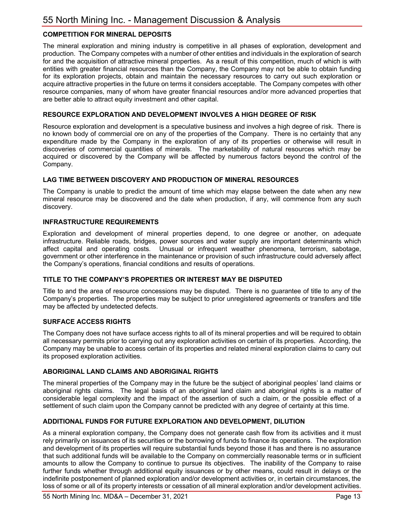## **COMPETITION FOR MINERAL DEPOSITS**

The mineral exploration and mining industry is competitive in all phases of exploration, development and production. The Company competes with a number of other entities and individuals in the exploration of search for and the acquisition of attractive mineral properties. As a result of this competition, much of which is with entities with greater financial resources than the Company, the Company may not be able to obtain funding for its exploration projects, obtain and maintain the necessary resources to carry out such exploration or acquire attractive properties in the future on terms it considers acceptable. The Company competes with other resource companies, many of whom have greater financial resources and/or more advanced properties that are better able to attract equity investment and other capital.

## **RESOURCE EXPLORATION AND DEVELOPMENT INVOLVES A HIGH DEGREE OF RISK**

Resource exploration and development is a speculative business and involves a high degree of risk. There is no known body of commercial ore on any of the properties of the Company. There is no certainty that any expenditure made by the Company in the exploration of any of its properties or otherwise will result in discoveries of commercial quantities of minerals. The marketability of natural resources which may be acquired or discovered by the Company will be affected by numerous factors beyond the control of the Company.

## **LAG TIME BETWEEN DISCOVERY AND PRODUCTION OF MINERAL RESOURCES**

The Company is unable to predict the amount of time which may elapse between the date when any new mineral resource may be discovered and the date when production, if any, will commence from any such discovery.

## **INFRASTRUCTURE REQUIREMENTS**

Exploration and development of mineral properties depend, to one degree or another, on adequate infrastructure. Reliable roads, bridges, power sources and water supply are important determinants which affect capital and operating costs. Unusual or infrequent weather phenomena, terrorism, sabotage, government or other interference in the maintenance or provision of such infrastructure could adversely affect the Company's operations, financial conditions and results of operations.

## **TITLE TO THE COMPANY'S PROPERTIES OR INTEREST MAY BE DISPUTED**

Title to and the area of resource concessions may be disputed. There is no guarantee of title to any of the Company's properties. The properties may be subject to prior unregistered agreements or transfers and title may be affected by undetected defects.

## **SURFACE ACCESS RIGHTS**

The Company does not have surface access rights to all of its mineral properties and will be required to obtain all necessary permits prior to carrying out any exploration activities on certain of its properties. According, the Company may be unable to access certain of its properties and related mineral exploration claims to carry out its proposed exploration activities.

## **ABORIGINAL LAND CLAIMS AND ABORIGINAL RIGHTS**

The mineral properties of the Company may in the future be the subject of aboriginal peoples' land claims or aboriginal rights claims. The legal basis of an aboriginal land claim and aboriginal rights is a matter of considerable legal complexity and the impact of the assertion of such a claim, or the possible effect of a settlement of such claim upon the Company cannot be predicted with any degree of certainty at this time.

## **ADDITIONAL FUNDS FOR FUTURE EXPLORATION AND DEVELOPMENT, DILUTION**

As a mineral exploration company, the Company does not generate cash flow from its activities and it must rely primarily on issuances of its securities or the borrowing of funds to finance its operations. The exploration and development of its properties will require substantial funds beyond those it has and there is no assurance that such additional funds will be available to the Company on commercially reasonable terms or in sufficient amounts to allow the Company to continue to pursue its objectives. The inability of the Company to raise further funds whether through additional equity issuances or by other means, could result in delays or the indefinite postponement of planned exploration and/or development activities or, in certain circumstances, the loss of some or all of its property interests or cessation of all mineral exploration and/or development activities.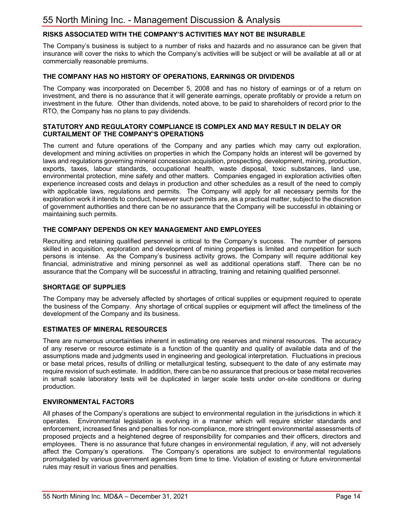## **RISKS ASSOCIATED WITH THE COMPANY'S ACTIVITIES MAY NOT BE INSURABLE**

The Company's business is subject to a number of risks and hazards and no assurance can be given that insurance will cover the risks to which the Company's activities will be subject or will be available at all or at commercially reasonable premiums.

#### **THE COMPANY HAS NO HISTORY OF OPERATIONS, EARNINGS OR DIVIDENDS**

The Company was incorporated on December 5, 2008 and has no history of earnings or of a return on investment, and there is no assurance that it will generate earnings, operate profitably or provide a return on investment in the future. Other than dividends, noted above, to be paid to shareholders of record prior to the RTO, the Company has no plans to pay dividends.

#### **STATUTORY AND REGULATORY COMPLIANCE IS COMPLEX AND MAY RESULT IN DELAY OR CURTAILMENT OF THE COMPANY'S OPERATIONS**

The current and future operations of the Company and any parties which may carry out exploration, development and mining activities on properties in which the Company holds an interest will be governed by laws and regulations governing mineral concession acquisition, prospecting, development, mining, production, exports, taxes, labour standards, occupational health, waste disposal, toxic substances, land use, environmental protection, mine safety and other matters. Companies engaged in exploration activities often experience increased costs and delays in production and other schedules as a result of the need to comply with applicable laws, regulations and permits. The Company will apply for all necessary permits for the exploration work it intends to conduct, however such permits are, as a practical matter, subject to the discretion of government authorities and there can be no assurance that the Company will be successful in obtaining or maintaining such permits.

#### **THE COMPANY DEPENDS ON KEY MANAGEMENT AND EMPLOYEES**

Recruiting and retaining qualified personnel is critical to the Company's success. The number of persons skilled in acquisition, exploration and development of mining properties is limited and competition for such persons is intense. As the Company's business activity grows, the Company will require additional key financial, administrative and mining personnel as well as additional operations staff. There can be no assurance that the Company will be successful in attracting, training and retaining qualified personnel.

## **SHORTAGE OF SUPPLIES**

The Company may be adversely affected by shortages of critical supplies or equipment required to operate the business of the Company. Any shortage of critical supplies or equipment will affect the timeliness of the development of the Company and its business.

## **ESTIMATES OF MINERAL RESOURCES**

There are numerous uncertainties inherent in estimating ore reserves and mineral resources. The accuracy of any reserve or resource estimate is a function of the quantity and quality of available data and of the assumptions made and judgments used in engineering and geological interpretation. Fluctuations in precious or base metal prices, results of drilling or metallurgical testing, subsequent to the date of any estimate may require revision of such estimate. In addition, there can be no assurance that precious or base metal recoveries in small scale laboratory tests will be duplicated in larger scale tests under on-site conditions or during production.

## **ENVIRONMENTAL FACTORS**

All phases of the Company's operations are subject to environmental regulation in the jurisdictions in which it operates. Environmental legislation is evolving in a manner which will require stricter standards and enforcement, increased fines and penalties for non-compliance, more stringent environmental assessments of proposed projects and a heightened degree of responsibility for companies and their officers, directors and employees. There is no assurance that future changes in environmental regulation, if any, will not adversely affect the Company's operations. The Company's operations are subject to environmental regulations promulgated by various government agencies from time to time. Violation of existing or future environmental rules may result in various fines and penalties.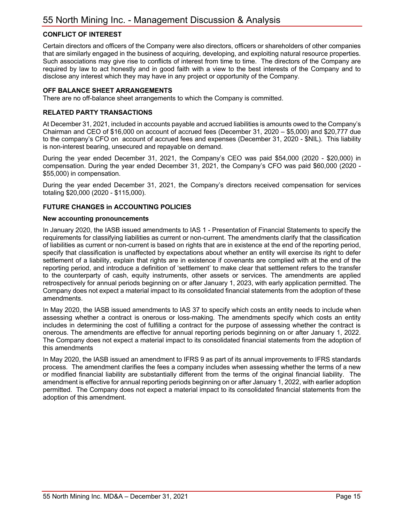## **CONFLICT OF INTEREST**

Certain directors and officers of the Company were also directors, officers or shareholders of other companies that are similarly engaged in the business of acquiring, developing, and exploiting natural resource properties. Such associations may give rise to conflicts of interest from time to time. The directors of the Company are required by law to act honestly and in good faith with a view to the best interests of the Company and to disclose any interest which they may have in any project or opportunity of the Company.

## **OFF BALANCE SHEET ARRANGEMENTS**

There are no off-balance sheet arrangements to which the Company is committed.

## **RELATED PARTY TRANSACTIONS**

At December 31, 2021, included in accounts payable and accrued liabilities is amounts owed to the Company's Chairman and CEO of \$16,000 on account of accrued fees (December 31, 2020 – \$5,000) and \$20,777 due to the company's CFO on account of accrued fees and expenses (December 31, 2020 - \$NIL). This liability is non-interest bearing, unsecured and repayable on demand.

During the year ended December 31, 2021, the Company's CEO was paid \$54,000 (2020 - \$20,000) in compensation. During the year ended December 31, 2021, the Company's CFO was paid \$60,000 (2020 - \$55,000) in compensation.

During the year ended December 31, 2021, the Company's directors received compensation for services totaling \$20,000 (2020 - \$115,000).

## **FUTURE CHANGES in ACCOUNTING POLICIES**

#### **New accounting pronouncements**

In January 2020, the IASB issued amendments to IAS 1 - Presentation of Financial Statements to specify the requirements for classifying liabilities as current or non-current. The amendments clarify that the classification of liabilities as current or non-current is based on rights that are in existence at the end of the reporting period, specify that classification is unaffected by expectations about whether an entity will exercise its right to defer settlement of a liability, explain that rights are in existence if covenants are complied with at the end of the reporting period, and introduce a definition of 'settlement' to make clear that settlement refers to the transfer to the counterparty of cash, equity instruments, other assets or services. The amendments are applied retrospectively for annual periods beginning on or after January 1, 2023, with early application permitted. The Company does not expect a material impact to its consolidated financial statements from the adoption of these amendments.

In May 2020, the IASB issued amendments to IAS 37 to specify which costs an entity needs to include when assessing whether a contract is onerous or loss-making. The amendments specify which costs an entity includes in determining the cost of fulfilling a contract for the purpose of assessing whether the contract is onerous. The amendments are effective for annual reporting periods beginning on or after January 1, 2022. The Company does not expect a material impact to its consolidated financial statements from the adoption of this amendments

In May 2020, the IASB issued an amendment to IFRS 9 as part of its annual improvements to IFRS standards process. The amendment clarifies the fees a company includes when assessing whether the terms of a new or modified financial liability are substantially different from the terms of the original financial liability. The amendment is effective for annual reporting periods beginning on or after January 1, 2022, with earlier adoption permitted. The Company does not expect a material impact to its consolidated financial statements from the adoption of this amendment.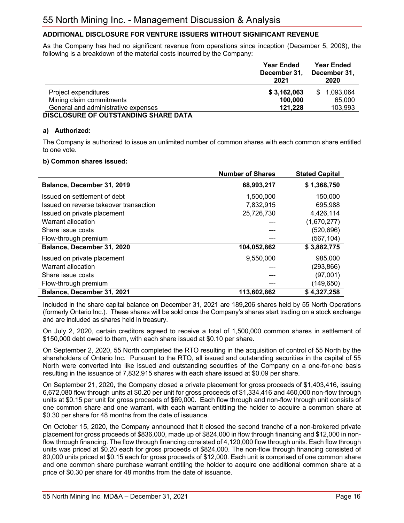## **ADDITIONAL DISCLOSURE FOR VENTURE ISSUERS WITHOUT SIGNIFICANT REVENUE**

As the Company has had no significant revenue from operations since inception (December 5, 2008), the following is a breakdown of the material costs incurred by the Company:

|                                     | <b>Year Ended</b><br>December 31.<br>2021 | <b>Year Ended</b><br>December 31.<br>2020 |
|-------------------------------------|-------------------------------------------|-------------------------------------------|
| Project expenditures                | \$3,162,063                               | 1,093,064<br>SS.                          |
| Mining claim commitments            | 100,000                                   | 65,000                                    |
| General and administrative expenses | 121.228                                   | 103,993                                   |
| NOOLOGUDE OF OUTCTANDING CUADE BATA |                                           |                                           |

#### **DISCLOSURE OF OUTSTANDING SHARE DATA**

## **a) Authorized:**

The Company is authorized to issue an unlimited number of common shares with each common share entitled to one vote.

## **b) Common shares issued:**

|                                        | <b>Number of Shares</b> | <b>Stated Capital</b> |
|----------------------------------------|-------------------------|-----------------------|
| Balance, December 31, 2019             | 68,993,217              | \$1,368,750           |
| Issued on settlement of debt           | 1,500,000               | 150,000               |
| Issued on reverse takeover transaction | 7,832,915               | 695,988               |
| Issued on private placement            | 25,726,730              | 4,426,114             |
| Warrant allocation                     |                         | (1,670,277)           |
| Share issue costs                      |                         | (520,696)             |
| Flow-through premium                   |                         | (567, 104)            |
| Balance, December 31, 2020             | 104,052,862             | \$3,882,775           |
| Issued on private placement            | 9,550,000               | 985,000               |
| Warrant allocation                     |                         | (293, 866)            |
| Share issue costs                      |                         | (97,001)              |
| Flow-through premium                   |                         | (149,650)             |
| Balance, December 31, 2021             | 113.602.862             | \$4,327,258           |

Included in the share capital balance on December 31, 2021 are 189,206 shares held by 55 North Operations (formerly Ontario Inc.). These shares will be sold once the Company's shares start trading on a stock exchange and are included as shares held in treasury.

On July 2, 2020, certain creditors agreed to receive a total of 1,500,000 common shares in settlement of \$150,000 debt owed to them, with each share issued at \$0.10 per share.

On September 2, 2020, 55 North completed the RTO resulting in the acquisition of control of 55 North by the shareholders of Ontario Inc. Pursuant to the RTO, all issued and outstanding securities in the capital of 55 North were converted into like issued and outstanding securities of the Company on a one-for-one basis resulting in the issuance of 7,832,915 shares with each share issued at \$0.09 per share.

On September 21, 2020, the Company closed a private placement for gross proceeds of \$1,403,416, issuing 6,672,080 flow through units at \$0.20 per unit for gross proceeds of \$1,334,416 and 460,000 non-flow through units at \$0.15 per unit for gross proceeds of \$69,000. Each flow through and non-flow through unit consists of one common share and one warrant, with each warrant entitling the holder to acquire a common share at \$0.30 per share for 48 months from the date of issuance.

On October 15, 2020, the Company announced that it closed the second tranche of a non-brokered private placement for gross proceeds of \$836,000, made up of \$824,000 in flow through financing and \$12,000 in nonflow through financing. The flow through financing consisted of 4,120,000 flow through units. Each flow through units was priced at \$0.20 each for gross proceeds of \$824,000. The non-flow through financing consisted of 80,000 units priced at \$0.15 each for gross proceeds of \$12,000. Each unit is comprised of one common share and one common share purchase warrant entitling the holder to acquire one additional common share at a price of \$0.30 per share for 48 months from the date of issuance.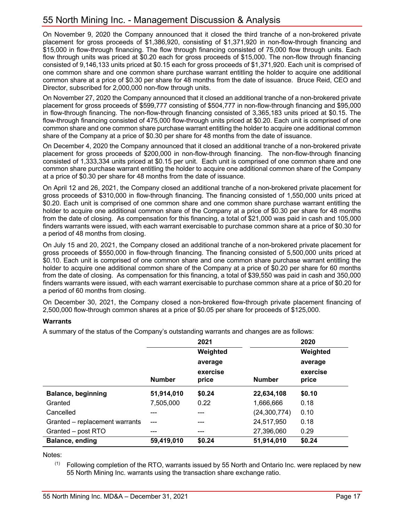On November 9, 2020 the Company announced that it closed the third tranche of a non-brokered private placement for gross proceeds of \$1,386,920, consisting of \$1,371,920 in non-flow-through financing and \$15,000 in flow-through financing. The flow through financing consisted of 75,000 flow through units. Each flow through units was priced at \$0.20 each for gross proceeds of \$15,000. The non-flow through financing consisted of 9,146,133 units priced at \$0.15 each for gross proceeds of \$1,371,920. Each unit is comprised of one common share and one common share purchase warrant entitling the holder to acquire one additional common share at a price of \$0.30 per share for 48 months from the date of issuance. Bruce Reid, CEO and Director, subscribed for 2,000,000 non-flow through units.

On November 27, 2020 the Company announced that it closed an additional tranche of a non-brokered private placement for gross proceeds of \$599,777 consisting of \$504,777 in non-flow-through financing and \$95,000 in flow-through financing. The non-flow-through financing consisted of 3,365,183 units priced at \$0.15. The flow-through financing consisted of 475,000 flow-through units priced at \$0.20. Each unit is comprised of one common share and one common share purchase warrant entitling the holder to acquire one additional common share of the Company at a price of \$0.30 per share for 48 months from the date of issuance.

On December 4, 2020 the Company announced that it closed an additional tranche of a non-brokered private placement for gross proceeds of \$200,000 in non-flow-through financing. The non-flow-through financing consisted of 1,333,334 units priced at \$0.15 per unit. Each unit is comprised of one common share and one common share purchase warrant entitling the holder to acquire one additional common share of the Company at a price of \$0.30 per share for 48 months from the date of issuance.

On April 12 and 26, 2021, the Company closed an additional tranche of a non-brokered private placement for gross proceeds of \$310,000 in flow-through financing. The financing consisted of 1,550,000 units priced at \$0.20. Each unit is comprised of one common share and one common share purchase warrant entitling the holder to acquire one additional common share of the Company at a price of \$0.30 per share for 48 months from the date of closing. As compensation for this financing, a total of \$21,000 was paid in cash and 105,000 finders warrants were issued, with each warrant exercisable to purchase common share at a price of \$0.30 for a period of 48 months from closing.

On July 15 and 20, 2021, the Company closed an additional tranche of a non-brokered private placement for gross proceeds of \$550,000 in flow-through financing. The financing consisted of 5,500,000 units priced at \$0.10. Each unit is comprised of one common share and one common share purchase warrant entitling the holder to acquire one additional common share of the Company at a price of \$0.20 per share for 60 months from the date of closing. As compensation for this financing, a total of \$39,550 was paid in cash and 350,000 finders warrants were issued, with each warrant exercisable to purchase common share at a price of \$0.20 for a period of 60 months from closing.

On December 30, 2021, the Company closed a non-brokered flow-through private placement financing of 2,500,000 flow-through common shares at a price of \$0.05 per share for proceeds of \$125,000.

## **Warrants**

A summary of the status of the Company's outstanding warrants and changes are as follows:

|                                |               | 2021              |                | 2020              |
|--------------------------------|---------------|-------------------|----------------|-------------------|
|                                |               | Weighted          |                | Weighted          |
|                                |               | average           |                | average           |
|                                | <b>Number</b> | exercise<br>price | <b>Number</b>  | exercise<br>price |
| <b>Balance, beginning</b>      | 51,914,010    | \$0.24            | 22,634,108     | \$0.10            |
| Granted                        | 7,505,000     | 0.22              | 1,666,666      | 0.18              |
| Cancelled                      |               | ---               | (24, 300, 774) | 0.10              |
| Granted - replacement warrants | ---           | ---               | 24,517,950     | 0.18              |
| Granted - post RTO             | ---           | ---               | 27,396,060     | 0.29              |
| <b>Balance, ending</b>         | 59,419,010    | \$0.24            | 51,914,010     | \$0.24            |

Notes:

(1) Following completion of the RTO, warrants issued by 55 North and Ontario Inc. were replaced by new 55 North Mining Inc. warrants using the transaction share exchange ratio.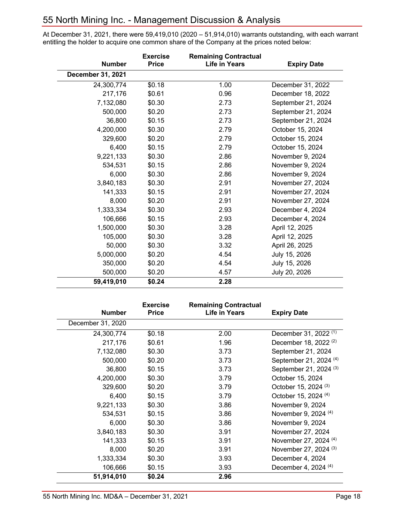## 55 North Mining Inc. - Management Discussion & Analysis

At December 31, 2021, there were 59,419,010 (2020 – 51,914,010) warrants outstanding, with each warrant entitling the holder to acquire one common share of the Company at the prices noted below:

|                          | <b>Exercise</b> | <b>Remaining Contractual</b> |                    |
|--------------------------|-----------------|------------------------------|--------------------|
| <b>Number</b>            | <b>Price</b>    | <b>Life in Years</b>         | <b>Expiry Date</b> |
| <b>December 31, 2021</b> |                 |                              |                    |
| 24,300,774               | \$0.18          | 1.00                         | December 31, 2022  |
| 217,176                  | \$0.61          | 0.96                         | December 18, 2022  |
| 7,132,080                | \$0.30          | 2.73                         | September 21, 2024 |
| 500,000                  | \$0.20          | 2.73                         | September 21, 2024 |
| 36,800                   | \$0.15          | 2.73                         | September 21, 2024 |
| 4,200,000                | \$0.30          | 2.79                         | October 15, 2024   |
| 329,600                  | \$0.20          | 2.79                         | October 15, 2024   |
| 6,400                    | \$0.15          | 2.79                         | October 15, 2024   |
| 9,221,133                | \$0.30          | 2.86                         | November 9, 2024   |
| 534,531                  | \$0.15          | 2.86                         | November 9, 2024   |
| 6,000                    | \$0.30          | 2.86                         | November 9, 2024   |
| 3,840,183                | \$0.30          | 2.91                         | November 27, 2024  |
| 141,333                  | \$0.15          | 2.91                         | November 27, 2024  |
| 8,000                    | \$0.20          | 2.91                         | November 27, 2024  |
| 1,333,334                | \$0.30          | 2.93                         | December 4, 2024   |
| 106,666                  | \$0.15          | 2.93                         | December 4, 2024   |
| 1,500,000                | \$0.30          | 3.28                         | April 12, 2025     |
| 105,000                  | \$0.30          | 3.28                         | April 12, 2025     |
| 50,000                   | \$0.30          | 3.32                         | April 26, 2025     |
| 5,000,000                | \$0.20          | 4.54                         | July 15, 2026      |
| 350,000                  | \$0.20          | 4.54                         | July 15, 2026      |
| 500,000                  | \$0.20          | 4.57                         | July 20, 2026      |
| 59,419,010               | \$0.24          | 2.28                         |                    |

| <b>Number</b>     | <b>Exercise</b><br><b>Price</b> | <b>Remaining Contractual</b><br><b>Life in Years</b> | <b>Expiry Date</b>                |
|-------------------|---------------------------------|------------------------------------------------------|-----------------------------------|
| December 31, 2020 |                                 |                                                      |                                   |
| 24,300,774        | \$0.18                          | 2.00                                                 | December 31, 2022 <sup>(1)</sup>  |
| 217,176           | \$0.61                          | 1.96                                                 | December 18, 2022 <sup>(2)</sup>  |
| 7,132,080         | \$0.30                          | 3.73                                                 | September 21, 2024                |
| 500,000           | \$0.20                          | 3.73                                                 | September 21, 2024 <sup>(4)</sup> |
| 36,800            | \$0.15                          | 3.73                                                 | September 21, 2024 <sup>(3)</sup> |
| 4,200,000         | \$0.30                          | 3.79                                                 | October 15, 2024                  |
| 329,600           | \$0.20                          | 3.79                                                 | October 15, 2024 <sup>(3)</sup>   |
| 6,400             | \$0.15                          | 3.79                                                 | October 15, 2024 <sup>(4)</sup>   |
| 9,221,133         | \$0.30                          | 3.86                                                 | November 9, 2024                  |
| 534,531           | \$0.15                          | 3.86                                                 | November 9, 2024 (4)              |
| 6,000             | \$0.30                          | 3.86                                                 | November 9, 2024                  |
| 3,840,183         | \$0.30                          | 3.91                                                 | November 27, 2024                 |
| 141,333           | \$0.15                          | 3.91                                                 | November 27, 2024 (4)             |
| 8,000             | \$0.20                          | 3.91                                                 | November 27, 2024 <sup>(3)</sup>  |
| 1,333,334         | \$0.30                          | 3.93                                                 | December 4, 2024                  |
| 106,666           | \$0.15                          | 3.93                                                 | December 4, 2024 <sup>(4)</sup>   |
| 51,914,010        | \$0.24                          | 2.96                                                 |                                   |